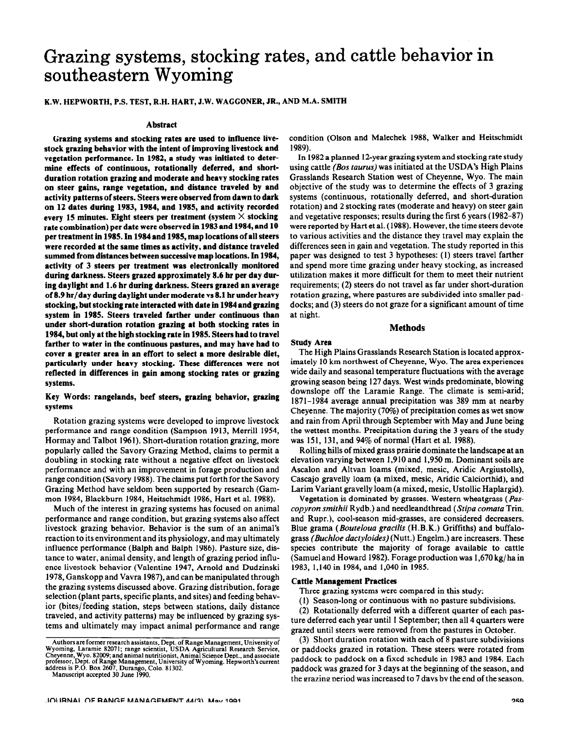# **Grazing systems, stocking rates, and cattle behavior in southeastern Wyoming**

## K.W. HEPWORTH, P.S. TEST, R.H. HART, J.W. WAGGONER, JR., AND M.A. SMITH

#### **Abstract**

**Grazing systems and stocking rates are used to influence livestock grazing behavior with the intent of improving livestock and vegetation performance. In 1982, a study was initiated to determine effects of continuous, rotationally deferred, and shortduration rotation grazing and moderate and heavy stocking rates on steer gains, range vegetation,** and distance traveled **by** and activity patterns of steers. Steers were observed from dawn to dark on 12 dates during 1983, 1984, and 1985, and activity recorded every 15 minutes. Eight **steers per treatment (system X stocking rate** combination) per date **were observed in 1983 and 1984, and 10 per treatment in 1985. In 1984 and 1985, map locations of all steers were recorded at the same times as activity, and distance traveled summed from distances between successive map locations. In 1984, activity of 3 steers per treatment was electronically monitored during darkness. Steers grazed approximately 8.6 hr per day during daylight and 1.6 hr during darkness. Steers grazed an average of 8.9 hr/day during daylight under moderate vs 8.1 hr under heavy stocking, but stocking rate interacted with date in 1984 and grazing system in 1985. Steers traveled farther under continuous than under short-duration rotation grazing at both stocking rates in 1984, but only at the high stocking** rate **in 1985. Steers had to travel farther to water in the continuous pastures, and may have had to cover a greater area** in **an effort to select a more desirable diet, particularly under heavy stocking. These differences were not reflected in differences in gain among stocking rates or grazing systems.** 

## **Key Words: rangelands, beef steers, grazing behavior, grazing systems**

Rotation grazing systems were developed to improve livestock performance and range condition (Sampson 1913, Merrill 1954, Hormay and Talbot 1961). Short-duration rotation grazing, more popularly called the Savory Grazing Method, claims to permit a doubling in stocking rate without a negative effect on livestock performance and with an improvement in forage production and range condition (Savory 1988). The claims put forth for the Savory Grazing Method have seldom been supported by research (Gammon 1984, Blackburn 1984, Heitschmidt 1986, Hart et al. 1988).

Much of the interest in grazing systems has focused on animal performance and range condition, but grazing systems also affect livestock grazing behavior. Behavior is the sum of an animal's reaction to its environment and its physiology, and may ultimately influence performance (Balph and Balph 1986). Pasture size, distance to water, animal density, and length of grazing period influence livestock behavior (Valentine 1947, Arnold and Dudzinski 1978, Ganskopp and Vavra 1987), and can be manipulated through the grazing systems discussed above. Grazing distribution, forage selection (plant parts, specific plants, and sites) and feeding behavior (bites/feeding station, steps between stations, daily distance traveled, and activity patterns) may be influenced by grazing systems and ultimately may impact animal performance and range

**Manuscript accepted 30 June 1990.** 

**condition** (Olson and Malechek 1988, Walker and Heitschmidt 1989).

**In 1982** a planned 12-year grazing system and stocking rate study using cattle (Bos taurus) was initiated at the USDA's High Plains Grasslands Research Station west of Cheyenne, Wyo. The main objective of the study was to determine the effects of 3 grazing systems (continuous, rotationally deferred, and short-duration rotation) and 2 stocking rates (moderate and heavy) on steer gain and vegetative responses; results during the first 6 years (1982-87) were reported by Hart et al. (1988). However, the time steers devote to various activities and the distance they travel may explain the differences seen in gain and vegetation. The study reported in this paper was designed to test 3 hypotheses: (1) steers travel farther and spend more time grazing under heavy stocking, as increased utilization makes it more difficult for them to meet their nutrient requirements; (2) steers do not travel as far under short-duration rotation grazing, where pastures are subdivided into smaller paddocks; and (3) steers do not graze for a significant amount of time at night.

## Methods

## Study **Area**

The High Plains Grasslands Research Station is located approximately 10 km northwest of Cheyenne, Wyo. The area experiences wide daily and seasonal temperature fluctuations with the average growing season being 127 days. West winds predominate, blowing downslope off the Laramie Range. The climate is semi-arid; 1871-1984 average annual precipitation was 389 mm at nearby Cheyenne. The majority (70%) of precipitation comes as wet snow and rain from April through September with May and June being the wettest months. Precipitation during the 3 years of the study was 151, 131, and 94% of normal (Hart et al. 1988).

Rolling hills of mixed grass prairie dominate the landscape at an elevation varying between 1,910 and 1,950 m. Dominant soils are Ascalon and Altvan loams (mixed, mesic, Aridic Argiustolls), Cascajo gravelly loam (a mixed, mesic, Aridic Calciorthid), and Larim Variant gravelly loam (a mixed, mesic, Ustollic Haplargid).

Vegetation is dominated by grasses. Western wheatgrass *(Pascopyron smithii* Rydb.) and needleandthread *(Stipa comata* Trin. and Rupr.), cool-season mid-grasses, are considered decreasers. Blue grama *(Bouteloua grucilis* (H.B.K.) Griffiths) and buffalograss *(Buchloe ductyloides)* (Nutt.) Engelm.) are increasers. These species contribute the majority of forage available to cattle (Samuel and Howard 1982). Forage production was 1,670 kg/ ha in 1983, 1,140 in 1984, and 1,040 in 1985.

#### **Cattle Management Practices**

Three grazing systems were compared in this study:

(I) Season-long or continuous with no pasture subdivisions.

(2) Rotationally deferred with a different quarter of each pasture deferred each year until I September; then all 4 quarters were grazed until steers were removed from the pastures in October.

(3) Short duration rotation with each of 8 pasture subdivisions or paddocks grazed in rotation. These steers were rotated from paddock to paddock on a fixed schedule in 1983 and 1984. Each paddock was grazed for 3 days at the beginning of the season, and the grazing period was increased to 7 days by the end of the season.

**Authors are former research assistants, Dept. of Range Management, University of Wyoming, Laramie 82071; range scientist, USDA Agricultural Research Service, Cheyenne, Wyo. 82009; and animal nutritionist, Animal Science Dept., and associate professor, Dept. of Range Management, University of Wyoming. Hepworth's current address is P.O. Box 2607, Durango, Colo. 81302.**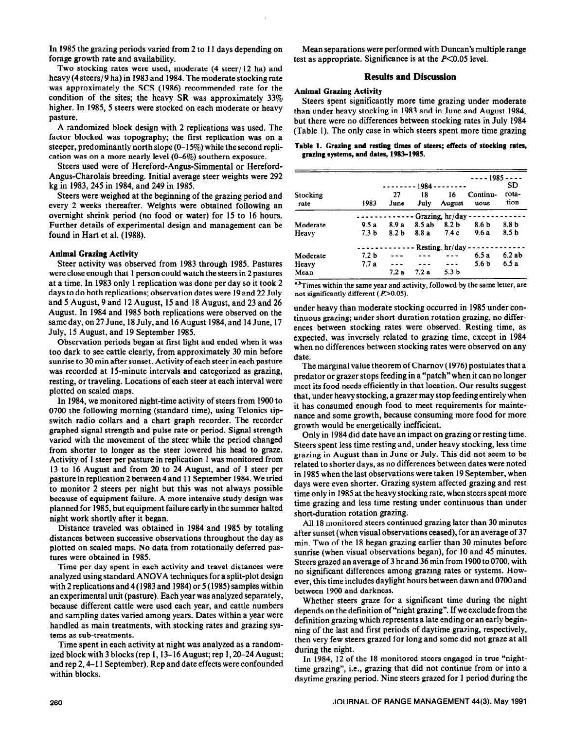forage growth rate and availability.  $\qquad \qquad \text{test as appropriate. Significance is at the } P \leq 0.05 \text{ level.}$ 

Two stocking rates were used, moderate (4 steer/ 12 ha) and heavy (4 steers/9 ha) in 1983 and 1984. The moderate stocking rate was approximately the SCS (1986) recommended rate for the condition of the sites; the heavy SR was approximately  $33\%$ higher. In 1985, 5 steers were stocked on each moderate or heavy pasture.

A randomized block design with 2 replications was used. The factor blocked was topography; the first replication was on a steeper, predominantly north slope  $(0-15\%)$  while the second replication was on a more nearly level (O-6%) southern exposure.

Steers used were of Hereford-Angus-Simmental or Hereford-Angus-Charolais breeding. Initial average steer weights were 292 kg in 1983,245 in 1984, and 249 in 1985.

Steers were weighed at the beginning of the grazing period and every 2 weeks thereafter. Weights were obtained following an overnight shrink period (no food or water) for 15 to 16 hours. Further details of experimental design and management can be found in Hart et al. (1988).

# **Animal Grazing Activity**

Steer activity was observed from 1983 through 1985. Pastures were close enough that 1 person could watch the steers in 2 pastures at a time. In 1983 only 1 replication was done per day so it took 2 days to do both replications; observation dates were 19 and 22 July and 5 August, 9 and 12 August, 15 and 18 August, and 23 and 26 August. In 1984 and 1985 both replications were observed on the same day, on 27 June, 18 July, and 16 August 1984, and 14 June, 17 July, 15 August, and 19 September 1985.

Observation periods began at first light and ended when it was too dark to see cattle clearly, from approximately 30 min before sunrise to 30 min after sunset. Activity of each steer in each pasture was recorded at 15-minute intervals and categorized as grazing, resting, or traveling. Locations of each steer at each interval were plotted on scaled maps.

In 1984, we monitored night-time activity of steers from 1900 to 0700 the following morning (standard time), using Telonics tipswitch radio collars and a chart graph recorder. The recorder graphed signal strength and pulse rate or period. Signal strength varied with the movement of the steer while the period changed from shorter to longer as the steer lowered his head to graze. Activity of 1 steer per pasture in replication 1 was monitored from 13 to 16 August and from 20 to 24 August, and of 1 steer per pasture in replication 2 between 4 and 11 September 1984. We tried to monitor 2 steers per night but this was not always possible because of equipment failure. A more intensive study design was planned for 1985, but equipment failure early in the summer halted night work shortly after it began.

Distance traveled was obtained in 1984 and 1985 by totaling distances between successive observations throughout the day as plotted on scaled maps. No data from rotationally deferred pastures were obtained in 1985.

Time per day spent in each activity and travel distances were analyzed using standard ANOVA techniques for a split-plot design with 2 replications and 4 (1983 and 1984) or 5 (1985) samples within an experimental unit (pasture). Each year was analyzed separately, because different cattle were used each year, and cattle numbers and sampling dates varied among years. Dates within a year were handled as main treatments, with stocking rates and grazing systems as sub-treatments.

Time spent in each activity at night was analyzed as a randomized block with 3 blocks (rep 1,13- 16 August; rep 1,20-24 August; and rep 2,4-l 1 September). Rep and date effects were confounded within blocks.

In 1985 the grazing periods varied from 2 to 11 days depending on Mean separations were performed with Duncan's multiple range

# **Results and Discussion**

# **Animal Grazing Activity**

Steers spent significantly more time grazing under moderate than under heavy stocking in 1983 and in June and August 1984, but there were no differences between stocking rates in July 1984 (Table 1). The only case in which steers spent more time grazing

# **Table 1. Grazing and resting times of steers; effects of stocking rates, grazing systems, and dates, 1983-1985.**

|          |                  |                  |                        |                   | ---- 1985 ----   |                  |
|----------|------------------|------------------|------------------------|-------------------|------------------|------------------|
|          |                  |                  | - - - - - - - - 1984 - |                   |                  | SD               |
| Stocking |                  | 27               | 18                     | 16                | Continu-         | rota-            |
| rate     | 1983             | June             | July                   | August            | uous             | tion             |
|          |                  |                  |                        | Grazing, hr/day   |                  |                  |
| Moderate | 9.5a             | 8.9a             | 8.5 ab                 | 8.2 <sub>b</sub>  | 8.6 b            | 8.8 <sub>b</sub> |
| Heavy    | 7.3 <sub>b</sub> | 8.2 <sub>b</sub> | 8.8 a                  | 7.4c              | 9.6a             | 8.5 b            |
|          |                  |                  |                        | Resting, $hr/day$ |                  |                  |
| Moderate | 7.2 <sub>b</sub> |                  |                        |                   | 6.5a             | 6.2ab            |
| Heavy    | 7.7a             |                  |                        |                   | 5.6 <sub>b</sub> | 6.5a             |
| Mean     |                  | 7.2a             | 7.2 a                  | 5.3 <sub>b</sub>  |                  |                  |

<sup>a,b</sup>Times within the same year and activity, followed by the same letter, are not significantly different  $(P>0.05)$ .

under heavy than moderate stocking occurred in 1985 under continuous grazing; under short-duration rotation grazing, no differences between stocking rates were observed. Resting time, as expected, was inversely related to grazing time, except in 1984 when no differences between stocking rates were observed on any date.

The marginal value theorem of Charnov (1976) postulates that a predator or grazer stops feeding in a "patch" when it can no longer meet its food needs efficiently in that location. Our results suggest that, under heavy stocking, a grazer may stop feeding entirely when it has consumed enough food to meet requirements for maintenance and some growth, because consuming more food for more growth would be energetically inefficient.

Only in 1984 did date have an impact on grazing or resting time. Steers spent less time resting and, under heavy stocking, less time grazing in August than in June or July. This did not seem to be related to shorter days, as no differences between dates were noted in 1985 when the last observations were taken 19 September, when days were even shorter. Grazing system affected grazing and rest time only in 1985 at the heavy stocking rate, when steers spent more time grazing and less time resting under continuous than under short-duration rotation grazing.

All 18 monitored steers continued grazing later than 30 minutes after sunset (when visual observations ceased), for an average of 37 min. Two of the 18 began grazing earlier than 30 minutes before sunrise (when visual observations began), for 10 and 45 minutes. Steers grazed an average of 3 hr and 36 min from 1900 to 0700, with no significant differences among grazing rates or systems. However, this time includes daylight hours between dawn and 0700 and between 1900 and darkness.

Whether steers graze for a significant time during the night depends on the definition of "night grazing". If we exclude from the definition grazing which represents a late ending or an early beginning of the last and first periods of daytime grazing, respectively, then very few steers grazed for long and some did not graze at all during the night.

In 1984, 12 of the 18 monitored steers engaged in true "nighttime grazing", i.e., grazing that did not continue from or into a daytime grazing period. Nine steers grazed for 1 period during the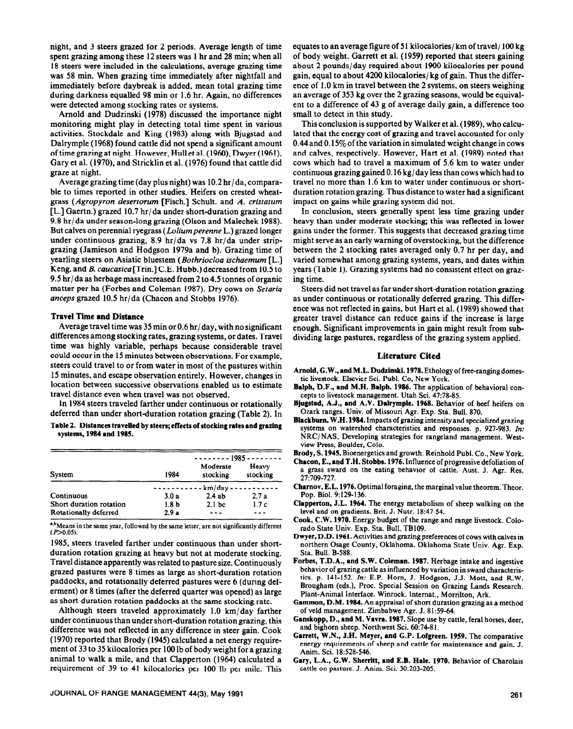night, and 3 steers grazed for 2 periods. Average length of time spent grazing among these 12 steers was 1 hr and 28 min; when all 18 steers were included in the calculations, average grazing time was 58 min. When grazing time immediately after nightfall and immediately before daybreak is added, mean total grazing time during darkness equalled 98 min or 1.6 hr. Again, no differences were detected among stocking rates or systems.

Arnold and Dudzinski (1978) discussed the importance night monitoring might play in detecting total time spent in various activities. Stockdale and King (1983) along with Bjugstad and Dalrymple (1968) found cattle did not spend a significant amount of time grazing at night. However, Hull et al. (1960), Dwyer (1961), Gary et al. (1970), and Stricklin et al. (1976) found that cattle did graze at night.

Average grazing time (day plus night) was 10.2 hr/da, comparable to times reported in other studies. Heifers on crested wheatgrass (Agropyron *desertorum* [Fisch.] Schult. and *A. cristatum*  [L.] Gaertn.) grazed 10.7 hr/da under short-duration grazing and 9.8 hr/da under season-long grazing (Olson and Malechek 1988). But calves on perennial ryegrass *(Loliumperenne* L.) grazed longer under continuous grazing, 8.9 hr/da vs 7.8 hr/da under stripgrazing (Jamieson and Hodgson 1979a and b). Grazing time of yearling steers on Asiatic bluestem *(Bothriocloa ischaemum* [L.] Keng. and *B. caucasica[Trin.]* C.E. Hubb.) decreased from 10.5 to 9.5 hr/da as herbage mass increased from 2 to 4.5 tonnes of organic matter per ha (Forbes and Coleman 1987). Dry cows on *Setaria anceps* grazed 10.5 hr/da (Chacon and Stobbs 1976).

# **Travel Time** and Distance

Average travel time was 35 min or 0.6 hr/day, with no significant differences among stocking rates, grazing systems, or dates. Travel time was highly variable, perhaps because considerable travel could occur in the 15 minutes between observations. For example, steers could travel to or from water in most of the pastures within 15 minutes, and escape observation entirely. However, changes in location between successive observations enabled us to estimate travel distance even when travel was not observed.

In 1984 steers traveled farther under continuous or rotationally deferred than under short-duration rotation grazing (Table 2). In

Table 2. Distances travelled by steers; effects of stocking rates and grazing **systems, 1984 and 1985.** 

|                         |                  | <u> - - - - - - - 1985 - - - - - - - -</u> |                   |  |  |
|-------------------------|------------------|--------------------------------------------|-------------------|--|--|
| System                  | 1984             | Moderate<br>stocking                       | Heavy<br>stocking |  |  |
|                         | km/day           |                                            |                   |  |  |
| Continuous              | 3.0a             | 2.4ab                                      | 2.7a              |  |  |
| Short duration rotation | 1.8 <sub>b</sub> | 2.1 <sub>bc</sub>                          | 1.7c              |  |  |
| Rotationally deferred   | 2.9a             |                                            |                   |  |  |

".<sup>b</sup>Means in the same year, followed by the same letter, are not significantly different  $(P>0.05)$ .

1985, steers traveled farther under continuous than under shortduration rotation grazing at heavy but not at moderate stocking. Travel distance apparently was related to pasture size. Continuously grazed pastures were 8 times as large as short-duration rotation paddocks, and rotationally deferred pastures were 6 (during deferment) or 8 times (after the deferred quarter was opened) as large as short-duration rotation paddocks at the same stocking rate.

Although steers traveled approximately  $1.0 \text{ km/day}$  farther under continuous than under short-duration rotation grazing, this difference was not reflected in any difference in steer gain. Cook (1970) reported that Brody (1945) calculated a net energy requirement of 33 to 35 kilocalories per 100 lb of body weight for a grazing animal to walk a mile, and that Clapperton (1964) calculated a requirement of 39 to 41 kilocalories per 100 lb per mile. This

equates to an average figure of 51 kilocalories/ km of travel/ 100 kg of body weight. Garrett et al. (1959) reported that steers gaining about 2 pounds/day required about 1900 kilocalories per pound gain, equal to about 4200 kilocalories/ kg of gain. Thus the difference of 1 .O km in travel between the 2 systems, on steers weighing an average of 353 kg over the 2 grazing seasons, would be equivalent to a difference of 43 g of average daily gain, a difference too small to detect in this study.

This conclusion is supported by Walker et al. (1989), who calculated that the energy cost of grazing and travel accounted for only 0.44 and 0.15% of the variation in simulated weight change in cows and calves, respectively. However, Hart et al. (1989) noted that cows which had to travel a maximum of 5.6 km to water under continuous grazing gained 0.16 kg/day less than cows which had to travel no more than 1.6 km to water under continuous or shortduration rotation grazing. Thus distance to water had a significant impact on gains while grazing system did not.

In conclusion, steers generally spent less time grazing under heavy than under moderate stocking; this was reflected in lower gains under the former. This suggests that decreased grazing time might serve as an early warning of overstocking, but the difference between the 2 stocking rates averaged only 0.7 hr per day, and varied somewhat among grazing systems, years, and dates within years (Table 1). Grazing systems had no consistent effect on grazing time.

Steers did not travel as far under short-duration rotation grazing as under continuous or rotationally deferred grazing. This difference was not reflected in gains, but Hart et al. (1989) showed that greater travel distance can reduce gains if the increase is large enough. Significant improvements in gain might result from subdividing large pastures, regardless of the grazing system applied.

## **Literature Cited**

- **Arnold, G.W., and M.L. Dudzinski. 1978.** Ethology of free-ranging domestic livestock. Elsevier Sci. Publ. Co, New York.
- **Balph, D.F., and M.H. Balph. 1986.** The application of behavioral concepts to livestock management. Utah Sci. 47:78-85.
- **Bjugsted, A.J., and A.V. Dalrymple. 1968.** Behavior of beef heifers on Ozark ranges. Univ. of Missouri Agr. Exp. Sta. Bull. 870.
- **Blackhum,** W.H. **1984.** Impacts of grazing intensity and specialized grazing systems on watershed characteristics and responses. p. 927-983. In: NRC/NAS, Developing strategies for rangeland management. Westview Press, Boulder, Colo.

**Brody, S. 1945.** Bioenergetics and growth. Reinhold Publ. Co., New York.

**Chrcon,** E., **and T.H. Stobbs. 1976.** Influence of progressive defoliation of a grass sward on the eating behavior of cattle. Aust. J. Agr. Res. 271709-727.

- **Charnov,** E.L. 1976. Optimal foraging, the marginal value theorem. Theor. Pop. Biol. 9:129-136.
- Clapperton, J.L. 1964. The energy metabolism of sheep walking on the level and on gradients. Brit. J. Nutr. 18:47-54.
- **Cook, C.W. 1970.** Energy budget of the range and range livestock. Colorado State Univ. Exp. Sta. Bull. TB109.
- **Dwyer,** D.D. **1961.** Activities and grazing **preferences** of cows with calves in northern Osage County, Oklahoma. Oklahoma State Univ. Agr. Exp. Sta. Bull. B-588.
- **Forbes, T.D.A., and S.W. Coleman.** 1987. Herbage intake and ingestive behavior of grazing cattle as influenced by variation in sward characteristics. p. 141-152. In: E.P. Horn, J. Hodgson, J.J. Mott, and R.W. Brougham (eds.), Proc. Special Session on Grazing Lands Research. Plant-Animal Interface. Winrock. Intemat., Morrilton, Ark.
- **Gammon,** D.M. **1984.** An appraisal of short duration grazing as a method of veld management. Zimbabwe Agr. J. 81:59-64.
- Ganskopp, D., and M. Vavra. 1987. Slope use by cattle, feral horses, deer, and bighorn sheep. Northwest Sci. 60:74-8 I.
- **Garrett, W.N., J.H. Meyer, and G.P. Lofgreen. 1959. The** comparative energy requirements of sheep and cattle for maintenance and gain. J. Anim. Sci. 18:528-546.
- **Gary, L.A., G.W. Sherritt, and E.B. Hale. 1970.** Behavior of Charolais cattle on pasture. J. Anim. Sci. 30:203-205.